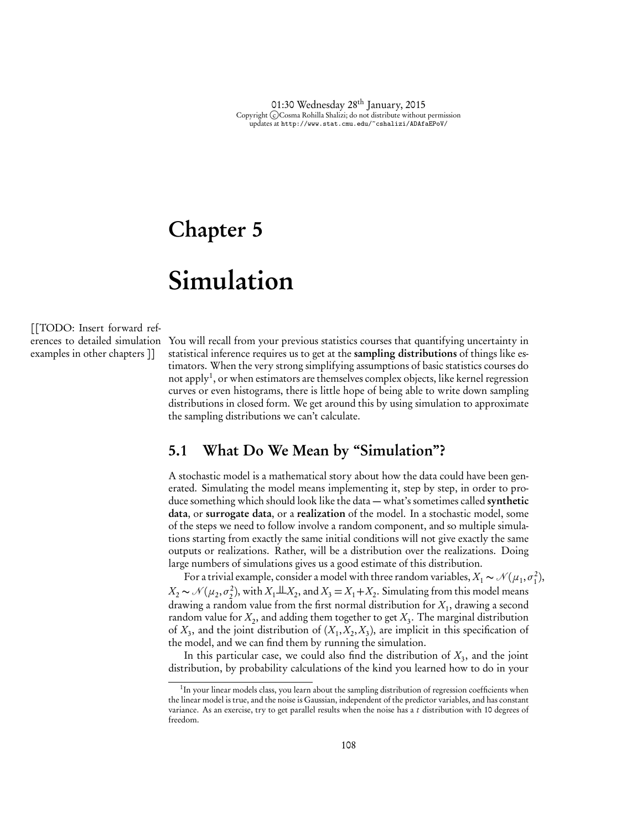# Chapter 5

# Simulation

[[TODO: Insert forward references to detailed simulation examples in other chapters ]]

You will recall from your previous statistics courses that quantifying uncertainty in statistical inference requires us to get at the sampling distributions of things like estimators. When the very strong simplifying assumptions of basic statistics courses do not apply<sup>1</sup>, or when estimators are themselves complex objects, like kernel regression curves or even histograms, there is little hope of being able to write down sampling distributions in closed form. We get around this by using simulation to approximate the sampling distributions we can't calculate.

## 5.1 What Do We Mean by "Simulation"?

A stochastic model is a mathematical story about how the data could have been generated. Simulating the model means implementing it, step by step, in order to produce something which should look like the data — what's sometimes called synthetic data, or surrogate data, or a realization of the model. In a stochastic model, some of the steps we need to follow involve a random component, and so multiple simulations starting from exactly the same initial conditions will not give exactly the same outputs or realizations. Rather, will be a distribution over the realizations. Doing large numbers of simulations gives us a good estimate of this distribution.

For a trivial example, consider a model with three random variables,  $X_1 \thicksim \mathcal{N}(\mu_1, \sigma_1^2),$  $X_2 \sim \mathcal{N}(\mu_2, \sigma_2^2)$ , with  $X_1 \perp X_2$ , and  $X_3 = X_1 + X_2$ . Simulating from this model means drawing a random value from the first normal distribution for *X*1, drawing a second random value for  $X_2$ , and adding them together to get  $X_3$ . The marginal distribution of  $X_3$ , and the joint distribution of  $(X_1, X_2, X_3)$ , are implicit in this specification of the model, and we can find them by running the simulation.

In this particular case, we could also find the distribution of  $X_3$ , and the joint distribution, by probability calculations of the kind you learned how to do in your

<sup>&</sup>lt;sup>1</sup>In your linear models class, you learn about the sampling distribution of regression coefficients when the linear model is true, and the noise is Gaussian, independent of the predictor variables, and has constant variance. As an exercise, try to get parallel results when the noise has a *t* distribution with 10 degrees of freedom.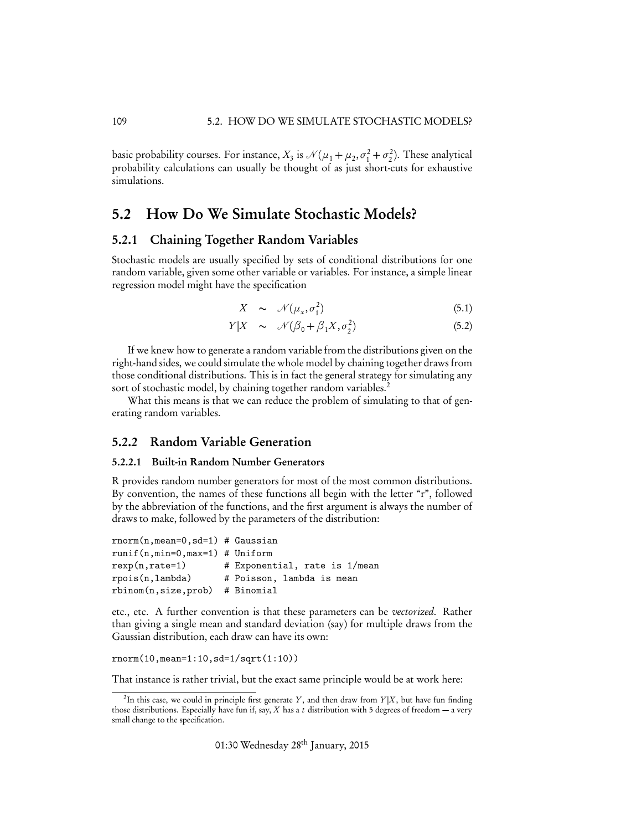basic probability courses. For instance,  $X_3$  is  $\mathcal{N}(\mu_1 + \mu_2, \sigma_1^2 + \sigma_2^2)$ . These analytical probability calculations can usually be thought of as just short-cuts for exhaustive simulations.

### 5.2 How Do We Simulate Stochastic Models?

#### 5.2.1 Chaining Together Random Variables

Stochastic models are usually specified by sets of conditional distributions for one random variable, given some other variable or variables. For instance, a simple linear regression model might have the specification

$$
X \sim \mathcal{N}(\mu_x, \sigma_1^2) \tag{5.1}
$$

$$
Y|X \sim \mathcal{N}(\beta_0 + \beta_1 X, \sigma_2^2) \tag{5.2}
$$

If we knew how to generate a random variable from the distributions given on the right-hand sides, we could simulate the whole model by chaining together draws from those conditional distributions. This is in fact the general strategy for simulating any sort of stochastic model, by chaining together random variables.<sup>2</sup>

What this means is that we can reduce the problem of simulating to that of generating random variables.

#### 5.2.2 Random Variable Generation

#### 5.2.2.1 Built-in Random Number Generators

R provides random number generators for most of the most common distributions. By convention, the names of these functions all begin with the letter "r", followed by the abbreviation of the functions, and the first argument is always the number of draws to make, followed by the parameters of the distribution:

```
rnorm(n,mean=0,sd=1) # Gaussian
runif(n,min=0,max=1) # Uniform
resp(n, rate=1) # Exponential, rate is 1/meanrpois(n,lambda) # Poisson, lambda is mean
rbinom(n,size,prob) # Binomial
```
etc., etc. A further convention is that these parameters can be *vectorized*. Rather than giving a single mean and standard deviation (say) for multiple draws from the Gaussian distribution, each draw can have its own:

rnorm(10,mean=1:10,sd=1/sqrt(1:10))

That instance is rather trivial, but the exact same principle would be at work here:

<sup>&</sup>lt;sup>2</sup>In this case, we could in principle first generate *Y*, and then draw from *Y* |*X*, but have fun finding those distributions. Especially have fun if, say, *X* has a *t* distribution with 5 degrees of freedom — a very small change to the specification.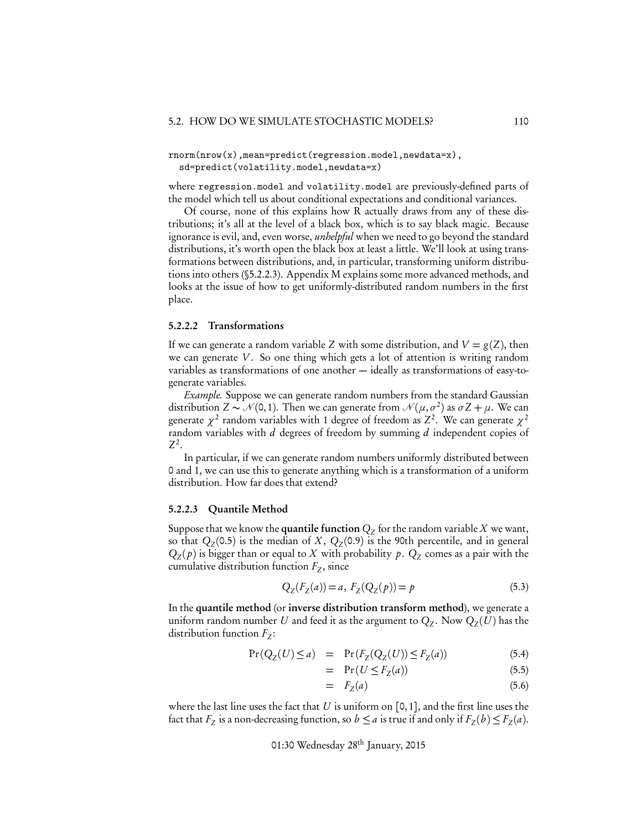#### rnorm(nrow(x),mean=predict(regression.model,newdata=x), sd=predict(volatility.model,newdata=x)

where regression.model and volatility.model are previously-defined parts of the model which tell us about conditional expectations and conditional variances.

Of course, none of this explains how R actually draws from any of these distributions; it's all at the level of a black box, which is to say black magic. Because ignorance is evil, and, even worse, *unhelpful* when we need to go beyond the standard distributions, it's worth open the black box at least a little. We'll look at using transformations between distributions, and, in particular, transforming uniform distributions into others (§5.2.2.3). Appendix M explains some more advanced methods, and looks at the issue of how to get uniformly-distributed random numbers in the first place.

#### 5.2.2.2 Transformations

If we can generate a random variable *Z* with some distribution, and  $V = g(Z)$ , then we can generate *V* . So one thing which gets a lot of attention is writing random variables as transformations of one another — ideally as transformations of easy-togenerate variables.

*Example.* Suppose we can generate random numbers from the standard Gaussian distribution  $Z \sim \mathcal{N}(0, 1)$ . Then we can generate from  $\mathcal{N}(\mu, \sigma^2)$  as  $\sigma Z + \mu$ . We can generate  $\chi^2$  random variables with 1 degree of freedom as  $Z^2$ . We can generate  $\chi^2$ random variables with *d* degrees of freedom by summing *d* independent copies of *Z*2.

In particular, if we can generate random numbers uniformly distributed between 0 and 1, we can use this to generate anything which is a transformation of a uniform distribution. How far does that extend?

#### 5.2.2.3 Quantile Method

Suppose that we know the **quantile function**  $Q_Z$  for the random variable  $X$  we want, so that  $Q_Z(0.5)$  is the median of *X*,  $Q_Z(0.9)$  is the 90th percentile, and in general  $Q_Z(p)$  is bigger than or equal to *X* with probability p.  $Q_Z$  comes as a pair with the cumulative distribution function  $F_Z$ , since

$$
Q_Z(F_Z(a)) = a, F_Z(Q_Z(p)) = p \tag{5.3}
$$

In the quantile method (or inverse distribution transform method), we generate a uniform random number *U* and feed it as the argument to  $Q_Z$ . Now  $Q_Z(U)$  has the distribution function  $F_Z$ :

$$
Pr(Q_Z(U) \le a) = Pr(F_Z(Q_Z(U)) \le F_Z(a))
$$
\n(5.4)

$$
= \Pr(U \le F_Z(a)) \tag{5.5}
$$

$$
= F_Z(a) \tag{5.6}
$$

where the last line uses the fact that  $U$  is uniform on [0, 1], and the first line uses the fact that  $F_Z$  is a non-decreasing function, so  $b \le a$  is true if and only if  $F_Z(b) \le F_Z(a)$ .

01:30 Wednesday 28th January, 2015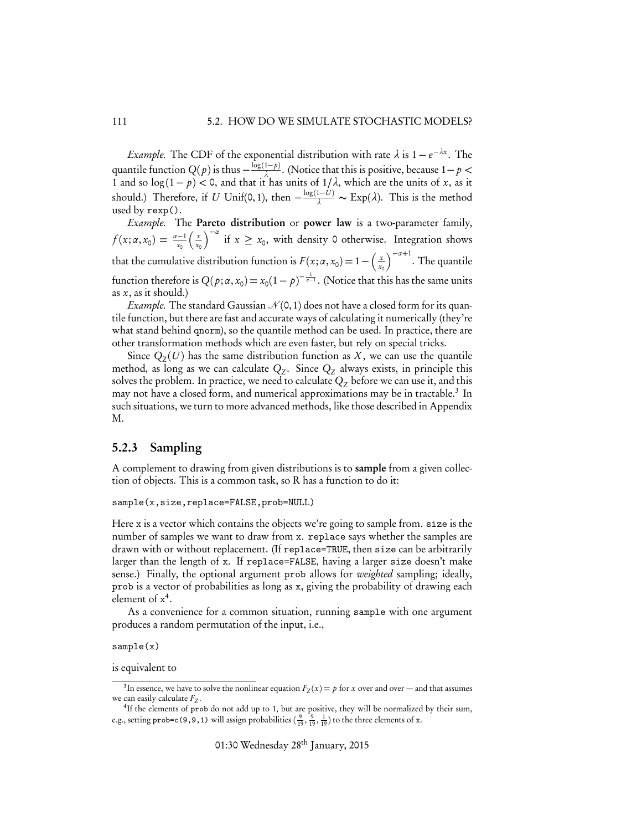*Example.* The CDF of the exponential distribution with rate  $\lambda$  is  $1 - e^{-\lambda x}$ . The quantile function  $Q(p)$  is thus  $-\frac{\log(1-p)}{\lambda}$ . (Notice that this is positive, because  $1-p$ 1 and so  $\log(1-p) < 0$ , and that it has units of  $1/\lambda$ , which are the units of *x*, as it should.) Therefore, if *U* Unif(0, 1), then  $-\frac{\log(1-U)}{\lambda} \sim \text{Exp}(\lambda)$ . This is the method used by rexp().

*Example.* The Pareto distribution or power law is a two-parameter family,  $f(x; \alpha, x_0) = \frac{\alpha - 1}{x_0}$  $\int x^2$ *x*0  $\int_{0}^{2\pi}$  if  $x \geq x_0$ , with density 0 otherwise. Integration shows that the cumulative distribution function is  $F(x; \alpha, x_0) = 1 - \left(\frac{x_0}{x_0}\right)$ *x*0  $\int^{-\alpha+1}$ . The quantile function therefore is  $Q(p; \alpha, x_0) = x_0(1-p)^{-\frac{1}{\alpha-1}}$ . (Notice that this has the same units as *x*, as it should.)

*Example*. The standard Gaussian  $\mathcal{N}(0,1)$  does not have a closed form for its quantile function, but there are fast and accurate ways of calculating it numerically (they're what stand behind qnorm), so the quantile method can be used. In practice, there are other transformation methods which are even faster, but rely on special tricks.

Since  $Q<sub>z</sub>(U)$  has the same distribution function as X, we can use the quantile method, as long as we can calculate  $Q_z$ . Since  $Q_z$  always exists, in principle this solves the problem. In practice, we need to calculate  $Q<sub>Z</sub>$  before we can use it, and this may not have a closed form, and numerical approximations may be in tractable.<sup>3</sup> In such situations, we turn to more advanced methods, like those described in Appendix M.

#### 5.2.3 Sampling

A complement to drawing from given distributions is to sample from a given collection of objects. This is a common task, so R has a function to do it:

```
sample(x,size,replace=FALSE,prob=NULL)
```
Here x is a vector which contains the objects we're going to sample from. size is the number of samples we want to draw from x. replace says whether the samples are drawn with or without replacement. (If replace=TRUE, then size can be arbitrarily larger than the length of x. If replace=FALSE, having a larger size doesn't make sense.) Finally, the optional argument prob allows for *weighted* sampling; ideally, prob is a vector of probabilities as long as x, giving the probability of drawing each element of  $x^4$ .

As a convenience for a common situation, running sample with one argument produces a random permutation of the input, i.e.,

sample(x)

is equivalent to

<sup>&</sup>lt;sup>3</sup>In essence, we have to solve the nonlinear equation  $F_Z(x) = p$  for *x* over and over — and that assumes we can easily calculate  $F_Z$ .

<sup>&</sup>lt;sup>4</sup>If the elements of prob do not add up to 1, but are positive, they will be normalized by their sum, e.g., setting prob=c(9,9,1) will assign probabilities  $(\frac{9}{19}, \frac{9}{19}, \frac{1}{19})$  to the three elements of x.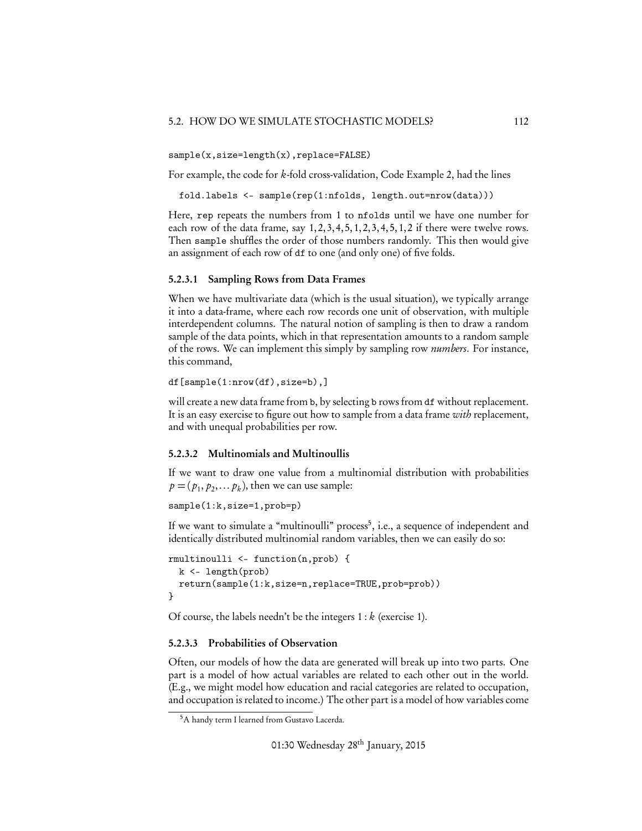sample(x,size=length(x),replace=FALSE)

For example, the code for *k*-fold cross-validation, Code Example 2, had the lines

fold.labels <- sample(rep(1:nfolds, length.out=nrow(data)))

Here, rep repeats the numbers from 1 to nfolds until we have one number for each row of the data frame, say 1, 2, 3, 4, 5, 1, 2, 3, 4, 5, 1, 2 if there were twelve rows. Then sample shuffles the order of those numbers randomly. This then would give an assignment of each row of df to one (and only one) of five folds.

#### 5.2.3.1 Sampling Rows from Data Frames

When we have multivariate data (which is the usual situation), we typically arrange it into a data-frame, where each row records one unit of observation, with multiple interdependent columns. The natural notion of sampling is then to draw a random sample of the data points, which in that representation amounts to a random sample of the rows. We can implement this simply by sampling row *numbers*. For instance, this command,

```
df[sample(1:nrow(df),size=b),]
```
will create a new data frame from b, by selecting b rows from df without replacement. It is an easy exercise to figure out how to sample from a data frame *with* replacement, and with unequal probabilities per row.

#### 5.2.3.2 Multinomials and Multinoullis

If we want to draw one value from a multinomial distribution with probabilities  $p = (p_1, p_2, \dots, p_k)$ , then we can use sample:

```
sample(1:k,size=1,prob=p)
```
If we want to simulate a "multinoulli" process<sup>5</sup>, i.e., a sequence of independent and identically distributed multinomial random variables, then we can easily do so:

```
rmultinoulli <- function(n,prob) {
 k <- length(prob)
 return(sample(1:k,size=n,replace=TRUE,prob=prob))
}
```
Of course, the labels needn't be the integers 1 : *k* (exercise 1).

#### 5.2.3.3 Probabilities of Observation

Often, our models of how the data are generated will break up into two parts. One part is a model of how actual variables are related to each other out in the world. (E.g., we might model how education and racial categories are related to occupation, and occupation is related to income.) The other part is a model of how variables come

<sup>5</sup>A handy term I learned from Gustavo Lacerda.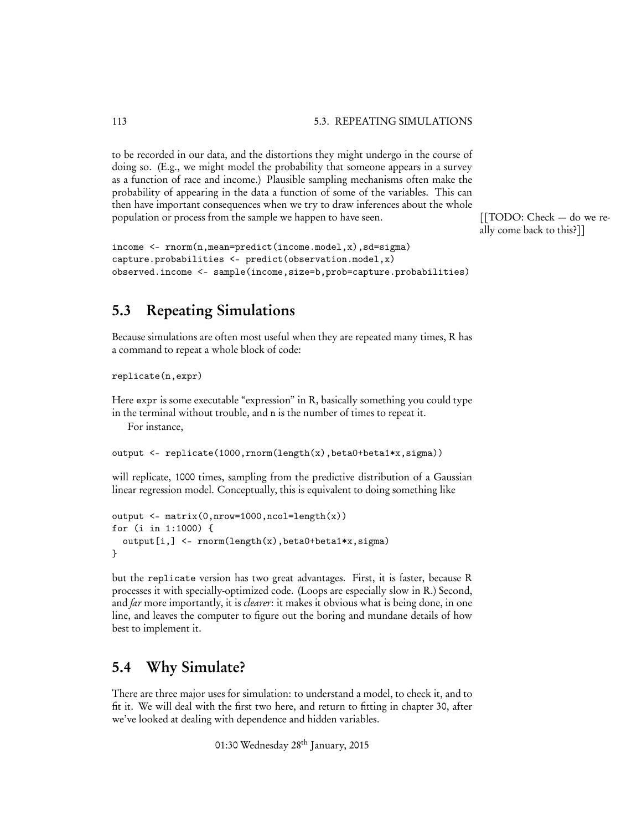to be recorded in our data, and the distortions they might undergo in the course of doing so. (E.g., we might model the probability that someone appears in a survey as a function of race and income.) Plausible sampling mechanisms often make the probability of appearing in the data a function of some of the variables. This can then have important consequences when we try to draw inferences about the whole population or process from the sample we happen to have seen. [[TODO: Check - do we re-

```
income <- rnorm(n,mean=predict(income.model,x),sd=sigma)
capture.probabilities <- predict(observation.model,x)
observed.income <- sample(income,size=b,prob=capture.probabilities)
```
ally come back to this?]]

## 5.3 Repeating Simulations

Because simulations are often most useful when they are repeated many times, R has a command to repeat a whole block of code:

```
replicate(n,expr)
```
Here expr is some executable "expression" in R, basically something you could type in the terminal without trouble, and n is the number of times to repeat it.

For instance,

output <- replicate(1000,rnorm(length(x),beta0+beta1\*x,sigma))

will replicate, 1000 times, sampling from the predictive distribution of a Gaussian linear regression model. Conceptually, this is equivalent to doing something like

```
output <- matrix(0,nrow=1000,ncol=length(x))
for (i in 1:1000) {
  output[i,] <- rnorm(length(x),beta0+beta1*x,sigma)
}
```
but the replicate version has two great advantages. First, it is faster, because R processes it with specially-optimized code. (Loops are especially slow in R.) Second, and *far* more importantly, it is *clearer*: it makes it obvious what is being done, in one line, and leaves the computer to figure out the boring and mundane details of how best to implement it.

## 5.4 Why Simulate?

There are three major uses for simulation: to understand a model, to check it, and to fit it. We will deal with the first two here, and return to fitting in chapter 30, after we've looked at dealing with dependence and hidden variables.

01:30 Wednesday 28<sup>th</sup> January, 2015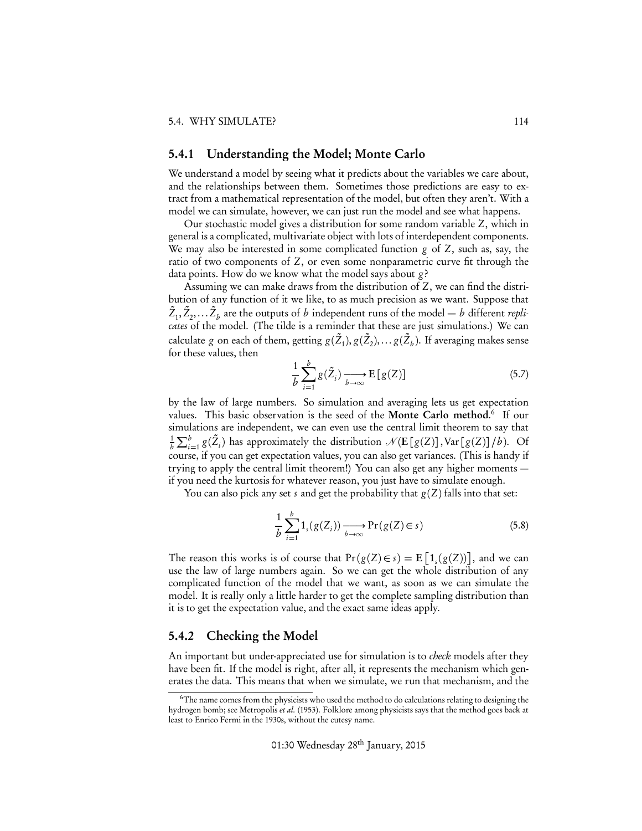#### 5.4.1 Understanding the Model; Monte Carlo

We understand a model by seeing what it predicts about the variables we care about, and the relationships between them. Sometimes those predictions are easy to extract from a mathematical representation of the model, but often they aren't. With a model we can simulate, however, we can just run the model and see what happens.

Our stochastic model gives a distribution for some random variable *Z*, which in general is a complicated, multivariate object with lots of interdependent components. We may also be interested in some complicated function *g* of *Z*, such as, say, the ratio of two components of *Z*, or even some nonparametric curve fit through the data points. How do we know what the model says about *g* ?

Assuming we can make draws from the distribution of *Z*, we can find the distribution of any function of it we like, to as much precision as we want. Suppose that  $\tilde{Z}_1, \tilde{Z}_2, \ldots \tilde{Z}_b$  are the outputs of  $b$  independent runs of the model —  $b$  different  $repli$ *cates* of the model. (The tilde is a reminder that these are just simulations.) We can calculate  $g$  on each of them, getting  $g(\tilde Z_1), g(\tilde Z_2), \dots g(\tilde Z_b).$  If averaging makes sense for these values, then

$$
\frac{1}{b} \sum_{i=1}^{b} g(\tilde{Z}_i) \xrightarrow[b \to \infty]{} \mathbf{E}\left[g(Z)\right] \tag{5.7}
$$

by the law of large numbers. So simulation and averaging lets us get expectation values. This basic observation is the seed of the Monte Carlo method. <sup>6</sup> If our simulations are independent, we can even use the central limit theorem to say that 1  $\frac{1}{b} \sum_{i=1}^{b} g(\tilde{Z}_i)$  has approximately the distribution  $\mathcal{N}(E[g(Z)], Var[g(Z)]/b)$ . Of course, if you can get expectation values, you can also get variances. (This is handy if trying to apply the central limit theorem!) You can also get any higher moments if you need the kurtosis for whatever reason, you just have to simulate enough.

You can also pick any set *s* and get the probability that  $g(Z)$  falls into that set:

$$
\frac{1}{b} \sum_{i=1}^{b} \mathbf{1}_s(g(Z_i)) \xrightarrow[b \to \infty]{} \Pr(g(Z) \in s)
$$
\n(5.8)

The reason this works is of course that  $Pr(g(Z) \in s) = E[1, (g(Z))]$ , and we can use the law of large numbers again. So we can get the whole distribution of any complicated function of the model that we want, as soon as we can simulate the model. It is really only a little harder to get the complete sampling distribution than it is to get the expectation value, and the exact same ideas apply.

#### 5.4.2 Checking the Model

An important but under-appreciated use for simulation is to *check* models after they have been fit. If the model is right, after all, it represents the mechanism which generates the data. This means that when we simulate, we run that mechanism, and the

<sup>&</sup>lt;sup>6</sup>The name comes from the physicists who used the method to do calculations relating to designing the hydrogen bomb; see Metropolis *et al.* (1953). Folklore among physicists says that the method goes back at least to Enrico Fermi in the 1930s, without the cutesy name.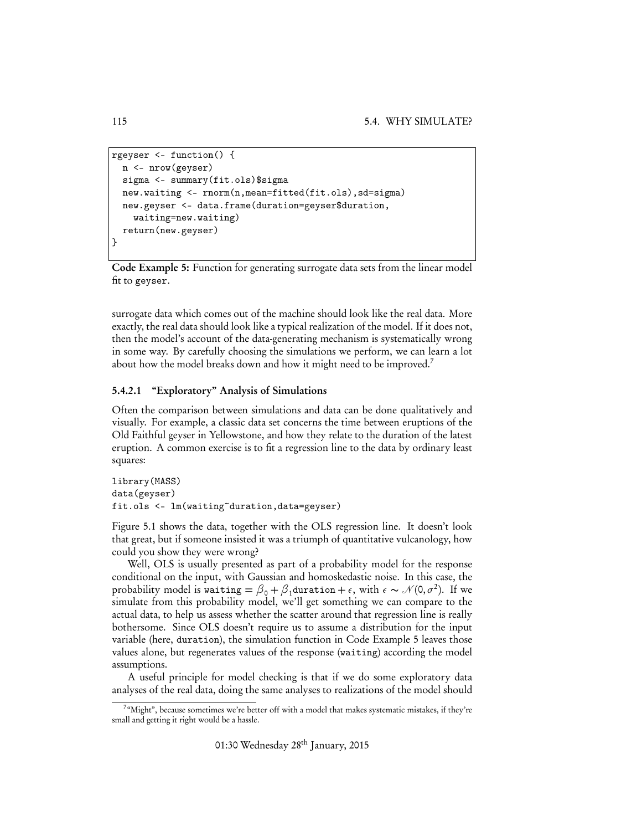```
rgeyser <- function() {
  n <- nrow(geyser)
  sigma <- summary(fit.ols)$sigma
  new.waiting <- rnorm(n,mean=fitted(fit.ols),sd=sigma)
  new.geyser <- data.frame(duration=geyser$duration,
    waiting=new.waiting)
  return(new.geyser)
}
```
Code Example 5: Function for generating surrogate data sets from the linear model fit to geyser.

surrogate data which comes out of the machine should look like the real data. More exactly, the real data should look like a typical realization of the model. If it does not, then the model's account of the data-generating mechanism is systematically wrong in some way. By carefully choosing the simulations we perform, we can learn a lot about how the model breaks down and how it might need to be improved.<sup>7</sup>

#### 5.4.2.1 "Exploratory" Analysis of Simulations

Often the comparison between simulations and data can be done qualitatively and visually. For example, a classic data set concerns the time between eruptions of the Old Faithful geyser in Yellowstone, and how they relate to the duration of the latest eruption. A common exercise is to fit a regression line to the data by ordinary least squares:

```
library(MASS)
data(geyser)
fit.ols <- lm(waiting~duration,data=geyser)
```
Figure 5.1 shows the data, together with the OLS regression line. It doesn't look that great, but if someone insisted it was a triumph of quantitative vulcanology, how could you show they were wrong?

Well, OLS is usually presented as part of a probability model for the response conditional on the input, with Gaussian and homoskedastic noise. In this case, the probability model is waiting =  $\beta_0 + \beta_1$  duration +  $\epsilon$ , with  $\epsilon \sim \mathcal{N}(0, \sigma^2)$ . If we simulate from this probability model, we'll get something we can compare to the actual data, to help us assess whether the scatter around that regression line is really bothersome. Since OLS doesn't require us to assume a distribution for the input variable (here, duration), the simulation function in Code Example 5 leaves those values alone, but regenerates values of the response (waiting) according the model assumptions.

A useful principle for model checking is that if we do some exploratory data analyses of the real data, doing the same analyses to realizations of the model should

<sup>&</sup>lt;sup>7</sup>"Might", because sometimes we're better off with a model that makes systematic mistakes, if they're small and getting it right would be a hassle.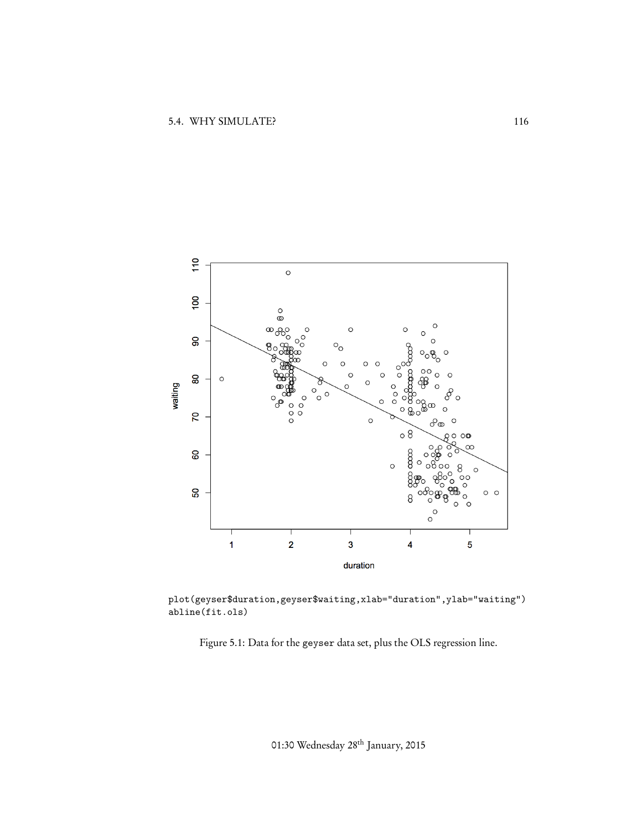

plot(geyser\$duration,geyser\$waiting,xlab="duration",ylab="waiting") abline(fit.ols)

Figure 5.1: Data for the geyser data set, plus the OLS regression line.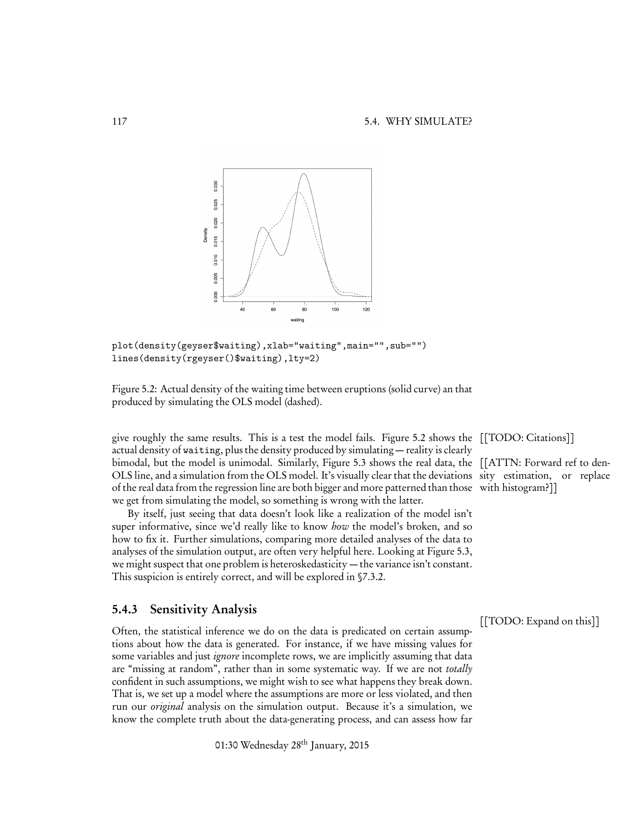

plot(density(geyser\$waiting),xlab="waiting",main="",sub="") lines(density(rgeyser()\$waiting),lty=2)

Figure 5.2: Actual density of the waiting time between eruptions (solid curve) an that produced by simulating the OLS model (dashed).

give roughly the same results. This is a test the model fails. Figure 5.2 shows the [[TODO: Citations]] actual density of waiting, plus the density produced by simulating — reality is clearly bimodal, but the model is unimodal. Similarly, Figure 5.3 shows the real data, the [[ATTN: Forward ref to den-OLS line, and a simulation from the OLS model. It's visually clear that the deviations sity estimation, or replace of the real data from the regression line are both bigger and more patterned than those with histogram?]] we get from simulating the model, so something is wrong with the latter.

By itself, just seeing that data doesn't look like a realization of the model isn't super informative, since we'd really like to know *how* the model's broken, and so how to fix it. Further simulations, comparing more detailed analyses of the data to analyses of the simulation output, are often very helpful here. Looking at Figure 5.3, we might suspect that one problem is heteroskedasticity — the variance isn't constant. This suspicion is entirely correct, and will be explored in §7.3.2.

#### 5.4.3 Sensitivity Analysis

[[TODO: Expand on this]] Often, the statistical inference we do on the data is predicated on certain assumptions about how the data is generated. For instance, if we have missing values for some variables and just *ignore* incomplete rows, we are implicitly assuming that data are "missing at random", rather than in some systematic way. If we are not *totally* confident in such assumptions, we might wish to see what happens they break down. That is, we set up a model where the assumptions are more or less violated, and then run our *original* analysis on the simulation output. Because it's a simulation, we know the complete truth about the data-generating process, and can assess how far

01:30 Wednesday 28<sup>th</sup> January, 2015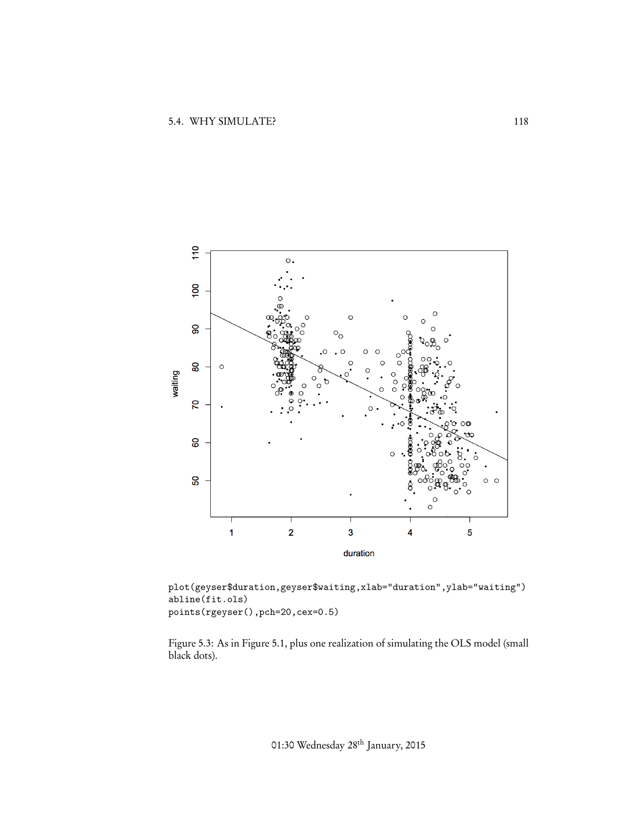

plot(geyser\$duration,geyser\$waiting,xlab="duration",ylab="waiting") abline(fit.ols) points(rgeyser(),pch=20,cex=0.5)

Figure 5.3: As in Figure 5.1, plus one realization of simulating the OLS model (small black dots).

01:30 Wednesday 28th January, 2015